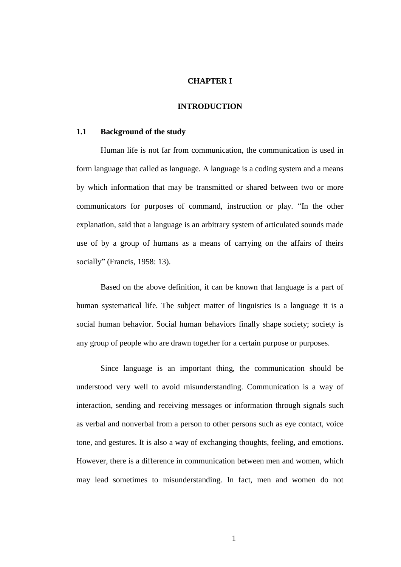## **CHAPTER I**

#### **INTRODUCTION**

#### **1.1 Background of the study**

Human life is not far from communication, the communication is used in form language that called as language. A language is a coding system and a means by which information that may be transmitted or shared between two or more communicators for purposes of command, instruction or play. "In the other explanation, said that a language is an arbitrary system of articulated sounds made use of by a group of humans as a means of carrying on the affairs of theirs socially" (Francis, 1958: 13).

Based on the above definition, it can be known that language is a part of human systematical life. The subject matter of linguistics is a language it is a social human behavior. Social human behaviors finally shape society; society is any group of people who are drawn together for a certain purpose or purposes.

Since language is an important thing, the communication should be understood very well to avoid misunderstanding. Communication is a way of interaction, sending and receiving messages or information through signals such as verbal and nonverbal from a person to other persons such as eye contact, voice tone, and gestures. It is also a way of exchanging thoughts, feeling, and emotions. However, there is a difference in communication between men and women, which may lead sometimes to misunderstanding. In fact, men and women do not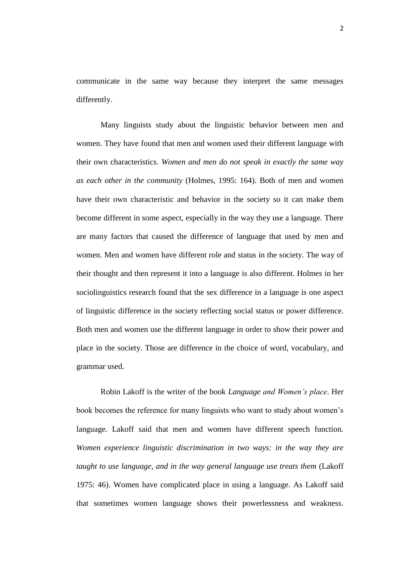communicate in the same way because they interpret the same messages differently.

Many linguists study about the linguistic behavior between men and women. They have found that men and women used their different language with their own characteristics. *Women and men do not speak in exactly the same way as each other in the community* (Holmes, 1995: 164). Both of men and women have their own characteristic and behavior in the society so it can make them become different in some aspect, especially in the way they use a language. There are many factors that caused the difference of language that used by men and women. Men and women have different role and status in the society. The way of their thought and then represent it into a language is also different. Holmes in her sociolinguistics research found that the sex difference in a language is one aspect of linguistic difference in the society reflecting social status or power difference. Both men and women use the different language in order to show their power and place in the society. Those are difference in the choice of word, vocabulary, and grammar used.

Robin Lakoff is the writer of the book *Language and Women's place*. Her book becomes the reference for many linguists who want to study about women"s language. Lakoff said that men and women have different speech function. *Women experience linguistic discrimination in two ways: in the way they are taught to use language, and in the way general language use treats them* (Lakoff 1975: 46). Women have complicated place in using a language. As Lakoff said that sometimes women language shows their powerlessness and weakness.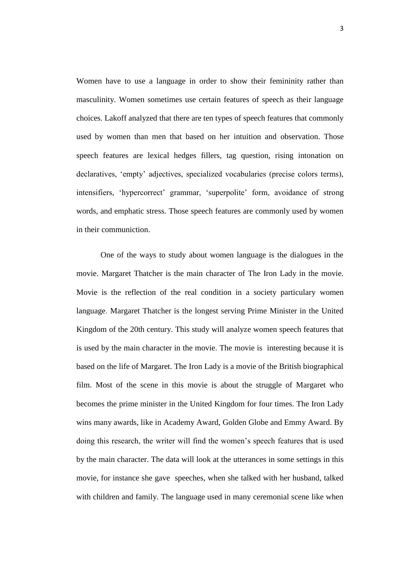Women have to use a language in order to show their femininity rather than masculinity. Women sometimes use certain features of speech as their language choices. Lakoff analyzed that there are ten types of speech features that commonly used by women than men that based on her intuition and observation. Those speech features are lexical hedges fillers, tag question, rising intonation on declaratives, "empty" adjectives, specialized vocabularies (precise colors terms), intensifiers, 'hypercorrect' grammar, 'superpolite' form, avoidance of strong words, and emphatic stress. Those speech features are commonly used by women in their communiction.

One of the ways to study about women language is the dialogues in the movie. Margaret Thatcher is the main character of The Iron Lady in the movie. Movie is the reflection of the real condition in a society particulary women language. Margaret Thatcher is the longest serving Prime Minister in the United Kingdom of the 20th century. This study will analyze women speech features that is used by the main character in the movie. The movie is interesting because it is based on the life of Margaret. The Iron Lady is a movie of the British biographical film. Most of the scene in this movie is about the struggle of Margaret who becomes the prime minister in the United Kingdom for four times. The Iron Lady wins many awards, like in Academy Award, Golden Globe and Emmy Award. By doing this research, the writer will find the women"s speech features that is used by the main character. The data will look at the utterances in some settings in this movie, for instance she gave speeches, when she talked with her husband, talked with children and family. The language used in many ceremonial scene like when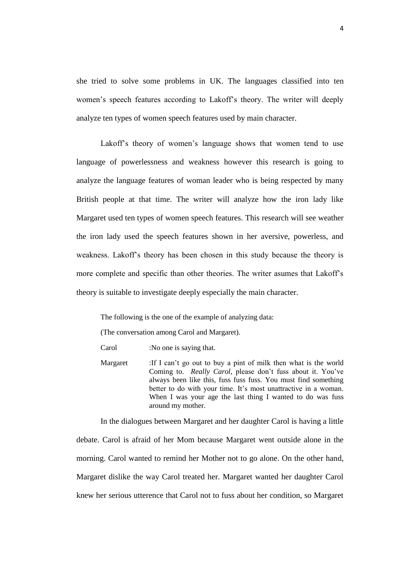she tried to solve some problems in UK. The languages classified into ten women"s speech features according to Lakoff"s theory. The writer will deeply analyze ten types of women speech features used by main character.

Lakoff"s theory of women"s language shows that women tend to use language of powerlessness and weakness however this research is going to analyze the language features of woman leader who is being respected by many British people at that time. The writer will analyze how the iron lady like Margaret used ten types of women speech features. This research will see weather the iron lady used the speech features shown in her aversive, powerless, and weakness. Lakoff"s theory has been chosen in this study because the theory is more complete and specific than other theories. The writer asumes that Lakoff"s theory is suitable to investigate deeply especially the main character.

The following is the one of the example of analyzing data:

(The conversation among Carol and Margaret).

Carol :No one is saying that.

Margaret :If I can't go out to buy a pint of milk then what is the world Coming to. *Really Carol*, please don't fuss about it. You've always been like this, fuss fuss fuss. You must find something better to do with your time. It's most unattractive in a woman. When I was your age the last thing I wanted to do was fuss around my mother.

In the dialogues between Margaret and her daughter Carol is having a little debate. Carol is afraid of her Mom because Margaret went outside alone in the morning. Carol wanted to remind her Mother not to go alone. On the other hand, Margaret dislike the way Carol treated her. Margaret wanted her daughter Carol knew her serious utterence that Carol not to fuss about her condition, so Margaret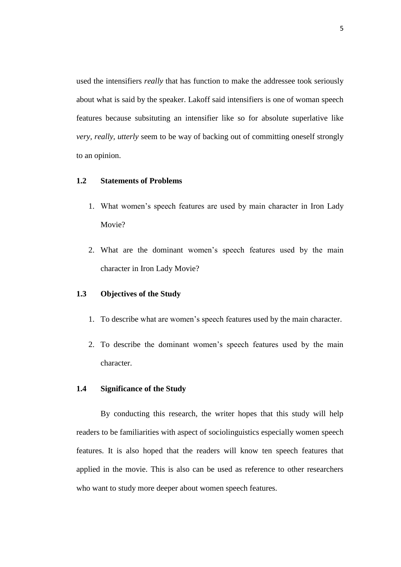used the intensifiers *really* that has function to make the addressee took seriously about what is said by the speaker. Lakoff said intensifiers is one of woman speech features because subsituting an intensifier like so for absolute superlative like *very, really, utterly* seem to be way of backing out of committing oneself strongly to an opinion.

# **1.2 Statements of Problems**

- 1. What women"s speech features are used by main character in Iron Lady Movie?
- 2. What are the dominant women"s speech features used by the main character in Iron Lady Movie?

### **1.3 Objectives of the Study**

- 1. To describe what are women"s speech features used by the main character.
- 2. To describe the dominant women"s speech features used by the main character.

#### **1.4 Significance of the Study**

By conducting this research, the writer hopes that this study will help readers to be familiarities with aspect of sociolinguistics especially women speech features. It is also hoped that the readers will know ten speech features that applied in the movie. This is also can be used as reference to other researchers who want to study more deeper about women speech features.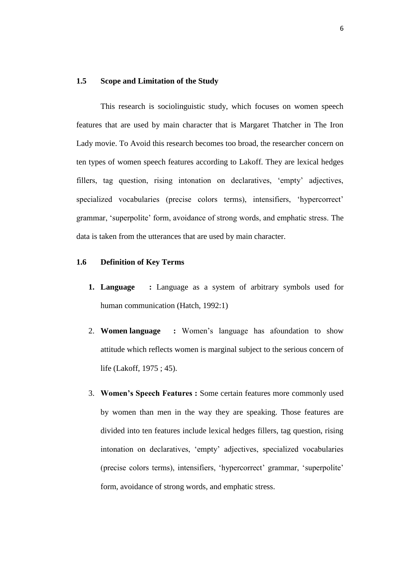## **1.5 Scope and Limitation of the Study**

This research is sociolinguistic study, which focuses on women speech features that are used by main character that is Margaret Thatcher in The Iron Lady movie. To Avoid this research becomes too broad, the researcher concern on ten types of women speech features according to Lakoff. They are lexical hedges fillers, tag question, rising intonation on declaratives, 'empty' adjectives, specialized vocabularies (precise colors terms), intensifiers, "hypercorrect" grammar, "superpolite" form, avoidance of strong words, and emphatic stress. The data is taken from the utterances that are used by main character.

### **1.6 Definition of Key Terms**

- **1. Language :** Language as a system of arbitrary symbols used for human communication (Hatch, 1992:1)
- 2. **Women language :** Women"s language has afoundation to show attitude which reflects women is marginal subject to the serious concern of life (Lakoff, 1975 ; 45).
- 3. **Women's Speech Features :** Some certain features more commonly used by women than men in the way they are speaking. Those features are divided into ten features include lexical hedges fillers, tag question, rising intonation on declaratives, "empty" adjectives, specialized vocabularies (precise colors terms), intensifiers, "hypercorrect" grammar, "superpolite" form, avoidance of strong words, and emphatic stress.